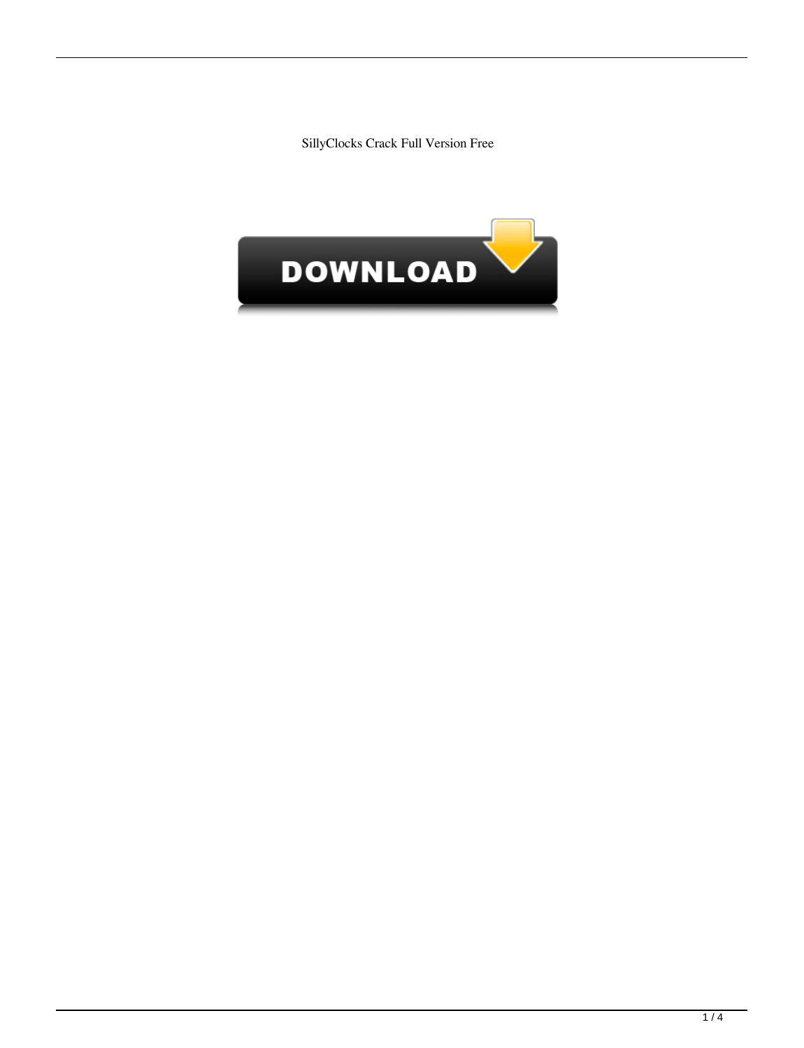SillyClocks Crack Full Version Free

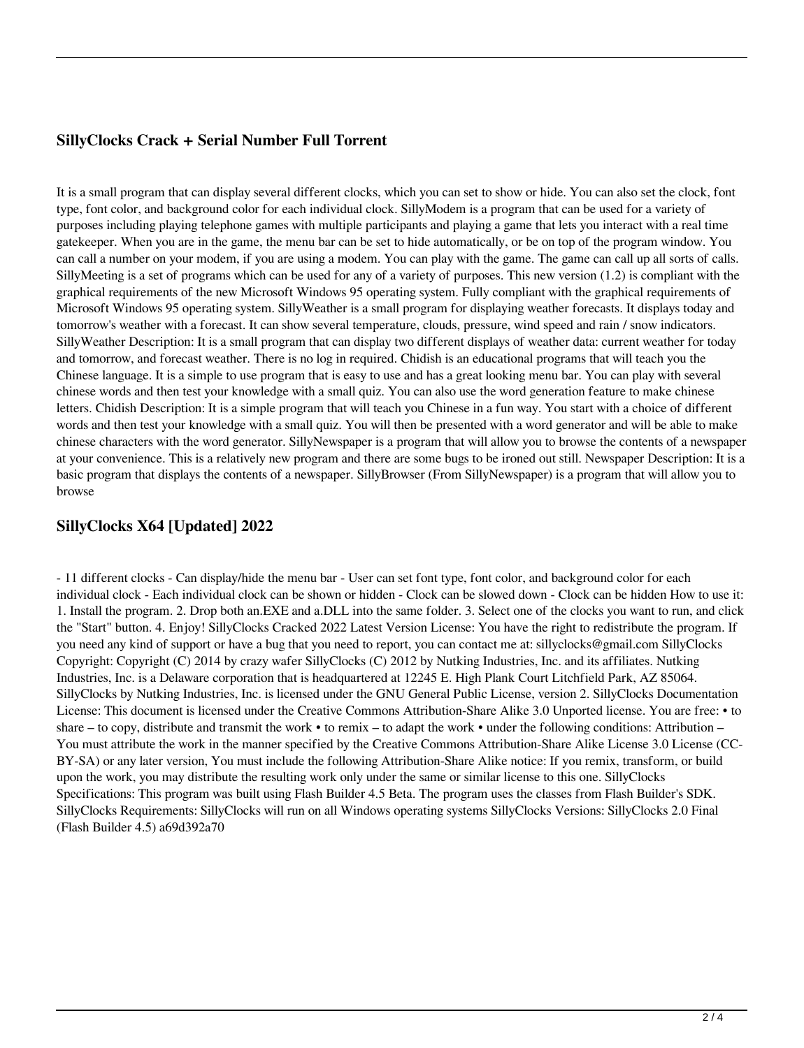## **SillyClocks Crack + Serial Number Full Torrent**

It is a small program that can display several different clocks, which you can set to show or hide. You can also set the clock, font type, font color, and background color for each individual clock. SillyModem is a program that can be used for a variety of purposes including playing telephone games with multiple participants and playing a game that lets you interact with a real time gatekeeper. When you are in the game, the menu bar can be set to hide automatically, or be on top of the program window. You can call a number on your modem, if you are using a modem. You can play with the game. The game can call up all sorts of calls. SillyMeeting is a set of programs which can be used for any of a variety of purposes. This new version (1.2) is compliant with the graphical requirements of the new Microsoft Windows 95 operating system. Fully compliant with the graphical requirements of Microsoft Windows 95 operating system. SillyWeather is a small program for displaying weather forecasts. It displays today and tomorrow's weather with a forecast. It can show several temperature, clouds, pressure, wind speed and rain / snow indicators. SillyWeather Description: It is a small program that can display two different displays of weather data: current weather for today and tomorrow, and forecast weather. There is no log in required. Chidish is an educational programs that will teach you the Chinese language. It is a simple to use program that is easy to use and has a great looking menu bar. You can play with several chinese words and then test your knowledge with a small quiz. You can also use the word generation feature to make chinese letters. Chidish Description: It is a simple program that will teach you Chinese in a fun way. You start with a choice of different words and then test your knowledge with a small quiz. You will then be presented with a word generator and will be able to make chinese characters with the word generator. SillyNewspaper is a program that will allow you to browse the contents of a newspaper at your convenience. This is a relatively new program and there are some bugs to be ironed out still. Newspaper Description: It is a basic program that displays the contents of a newspaper. SillyBrowser (From SillyNewspaper) is a program that will allow you to browse

#### **SillyClocks X64 [Updated] 2022**

- 11 different clocks - Can display/hide the menu bar - User can set font type, font color, and background color for each individual clock - Each individual clock can be shown or hidden - Clock can be slowed down - Clock can be hidden How to use it: 1. Install the program. 2. Drop both an.EXE and a.DLL into the same folder. 3. Select one of the clocks you want to run, and click the "Start" button. 4. Enjoy! SillyClocks Cracked 2022 Latest Version License: You have the right to redistribute the program. If you need any kind of support or have a bug that you need to report, you can contact me at: sillyclocks@gmail.com SillyClocks Copyright: Copyright (C) 2014 by crazy wafer SillyClocks (C) 2012 by Nutking Industries, Inc. and its affiliates. Nutking Industries, Inc. is a Delaware corporation that is headquartered at 12245 E. High Plank Court Litchfield Park, AZ 85064. SillyClocks by Nutking Industries, Inc. is licensed under the GNU General Public License, version 2. SillyClocks Documentation License: This document is licensed under the Creative Commons Attribution-Share Alike 3.0 Unported license. You are free: • to share – to copy, distribute and transmit the work • to remix – to adapt the work • under the following conditions: Attribution – You must attribute the work in the manner specified by the Creative Commons Attribution-Share Alike License 3.0 License (CC-BY-SA) or any later version, You must include the following Attribution-Share Alike notice: If you remix, transform, or build upon the work, you may distribute the resulting work only under the same or similar license to this one. SillyClocks Specifications: This program was built using Flash Builder 4.5 Beta. The program uses the classes from Flash Builder's SDK. SillyClocks Requirements: SillyClocks will run on all Windows operating systems SillyClocks Versions: SillyClocks 2.0 Final (Flash Builder 4.5) a69d392a70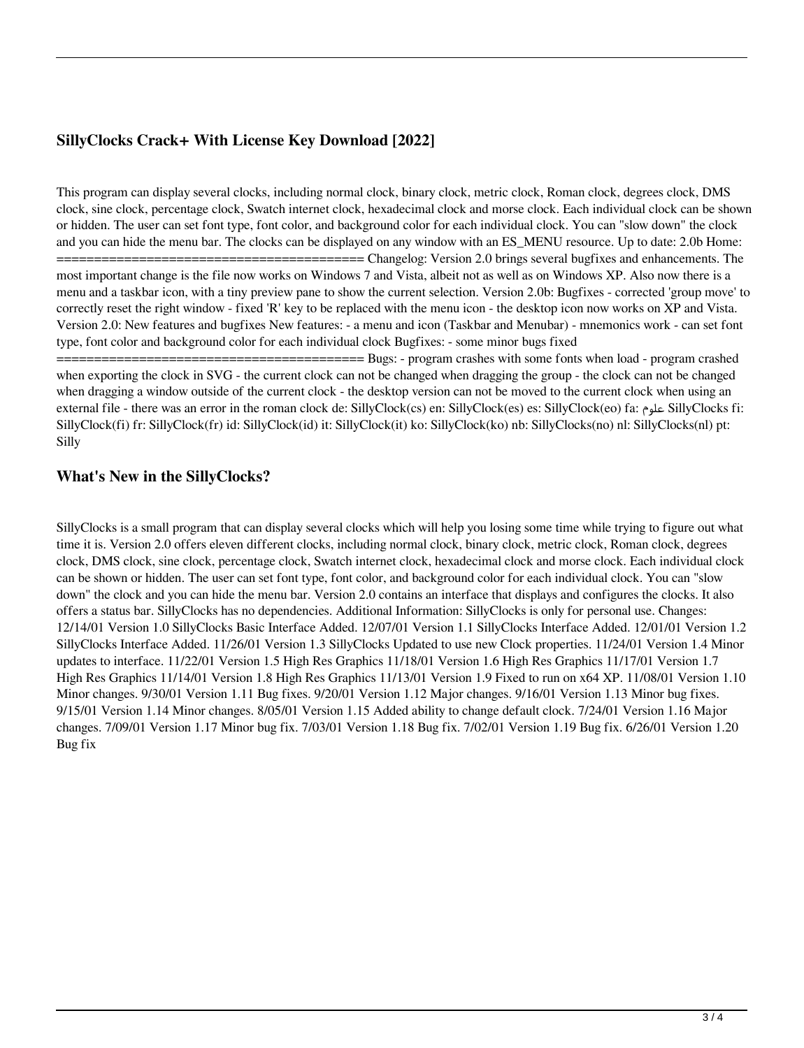# **SillyClocks Crack+ With License Key Download [2022]**

This program can display several clocks, including normal clock, binary clock, metric clock, Roman clock, degrees clock, DMS clock, sine clock, percentage clock, Swatch internet clock, hexadecimal clock and morse clock. Each individual clock can be shown or hidden. The user can set font type, font color, and background color for each individual clock. You can "slow down" the clock and you can hide the menu bar. The clocks can be displayed on any window with an ES\_MENU resource. Up to date: 2.0b Home:

 $==$ ========= Changelog: Version 2.0 brings several bugfixes and enhancements. The most important change is the file now works on Windows 7 and Vista, albeit not as well as on Windows XP. Also now there is a menu and a taskbar icon, with a tiny preview pane to show the current selection. Version 2.0b: Bugfixes - corrected 'group move' to correctly reset the right window - fixed 'R' key to be replaced with the menu icon - the desktop icon now works on XP and Vista. Version 2.0: New features and bugfixes New features: - a menu and icon (Taskbar and Menubar) - mnemonics work - can set font type, font color and background color for each individual clock Bugfixes: - some minor bugs fixed

========= Bugs: - program crashes with some fonts when load - program crashed when exporting the clock in SVG - the current clock can not be changed when dragging the group - the clock can not be changed when dragging a window outside of the current clock - the desktop version can not be moved to the current clock when using an external file - there was an error in the roman clock de: SillyClock(cs) en: SillyClock(es) es: SillyClock(eo) fa: علوم SillyClocks fi: SillyClock(fi) fr: SillyClock(fr) id: SillyClock(id) it: SillyClock(it) ko: SillyClock(ko) nb: SillyClocks(no) nl: SillyClocks(nl) pt: Silly

## **What's New in the SillyClocks?**

SillyClocks is a small program that can display several clocks which will help you losing some time while trying to figure out what time it is. Version 2.0 offers eleven different clocks, including normal clock, binary clock, metric clock, Roman clock, degrees clock, DMS clock, sine clock, percentage clock, Swatch internet clock, hexadecimal clock and morse clock. Each individual clock can be shown or hidden. The user can set font type, font color, and background color for each individual clock. You can "slow down" the clock and you can hide the menu bar. Version 2.0 contains an interface that displays and configures the clocks. It also offers a status bar. SillyClocks has no dependencies. Additional Information: SillyClocks is only for personal use. Changes: 12/14/01 Version 1.0 SillyClocks Basic Interface Added. 12/07/01 Version 1.1 SillyClocks Interface Added. 12/01/01 Version 1.2 SillyClocks Interface Added. 11/26/01 Version 1.3 SillyClocks Updated to use new Clock properties. 11/24/01 Version 1.4 Minor updates to interface. 11/22/01 Version 1.5 High Res Graphics 11/18/01 Version 1.6 High Res Graphics 11/17/01 Version 1.7 High Res Graphics 11/14/01 Version 1.8 High Res Graphics 11/13/01 Version 1.9 Fixed to run on x64 XP. 11/08/01 Version 1.10 Minor changes. 9/30/01 Version 1.11 Bug fixes. 9/20/01 Version 1.12 Major changes. 9/16/01 Version 1.13 Minor bug fixes. 9/15/01 Version 1.14 Minor changes. 8/05/01 Version 1.15 Added ability to change default clock. 7/24/01 Version 1.16 Major changes. 7/09/01 Version 1.17 Minor bug fix. 7/03/01 Version 1.18 Bug fix. 7/02/01 Version 1.19 Bug fix. 6/26/01 Version 1.20 Bug fix